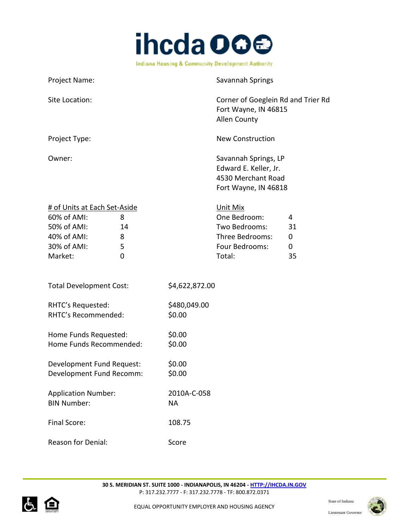

| Project Name:                                                                                                                 |                          | Savannah Springs                                                                            |                                   |
|-------------------------------------------------------------------------------------------------------------------------------|--------------------------|---------------------------------------------------------------------------------------------|-----------------------------------|
| Site Location:                                                                                                                |                          | Corner of Goeglein Rd and Trier Rd<br>Fort Wayne, IN 46815<br><b>Allen County</b>           |                                   |
| Project Type:                                                                                                                 |                          | <b>New Construction</b>                                                                     |                                   |
| Owner:                                                                                                                        |                          | Savannah Springs, LP<br>Edward E. Keller, Jr.<br>4530 Merchant Road<br>Fort Wayne, IN 46818 |                                   |
| # of Units at Each Set-Aside<br>60% of AMI:<br>8<br>50% of AMI:<br>14<br>40% of AMI:<br>8<br>30% of AMI:<br>5<br>Market:<br>0 |                          | Unit Mix<br>One Bedroom:<br>Two Bedrooms:<br>Three Bedrooms:<br>Four Bedrooms:<br>Total:    | 4<br>31<br>$\mathbf 0$<br>0<br>35 |
| <b>Total Development Cost:</b>                                                                                                | \$4,622,872.00           |                                                                                             |                                   |
| RHTC's Requested:<br>RHTC's Recommended:                                                                                      | \$480,049.00<br>\$0.00   |                                                                                             |                                   |
| Home Funds Requested:<br>Home Funds Recommended:                                                                              | \$0.00<br>\$0.00         |                                                                                             |                                   |
| Development Fund Request:<br>Development Fund Recomm:                                                                         | \$0.00<br>\$0.00         |                                                                                             |                                   |
| <b>Application Number:</b><br><b>BIN Number:</b>                                                                              | 2010A-C-058<br><b>NA</b> |                                                                                             |                                   |
| Final Score:                                                                                                                  | 108.75                   |                                                                                             |                                   |



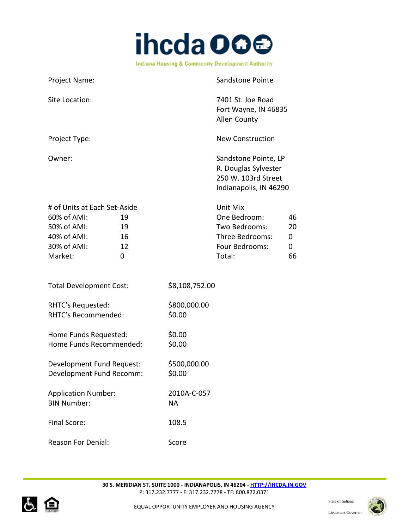

Project Name: Sandstone Pointe Site Location: The Contract of the Contract of the Contract of T401 St. Joe Road Fort Wayne, IN 46835 Allen County Project Type: New Construction Owner: Sandstone Pointe, LP R. Douglas Sylvester 250 W. 103rd Street Indianapolis, IN 46290 # of Units at Each Set-Aside Unit Mix 60% of AMI: 19 One Bedroom: 46 50% of AMI: 19 Two Bedrooms: 20 40% of AMI: 16 Three Bedrooms: 0 30% of AMI: 12 12 Four Bedrooms: 0 Market: 0 Total: 66 Total Development Cost: \$8,108,752.00 RHTC's Requested: \$800,000.00 RHTC's Recommended: \$0.00 Home Funds Requested: \$0.00 Home Funds Recommended: \$0.00 Development Fund Request: \$500,000.00 Development Fund Recomm: \$0.00 Application Number: 2010A-C-057 BIN Number: NA Final Score: 108.5 Reason For Denial: Score



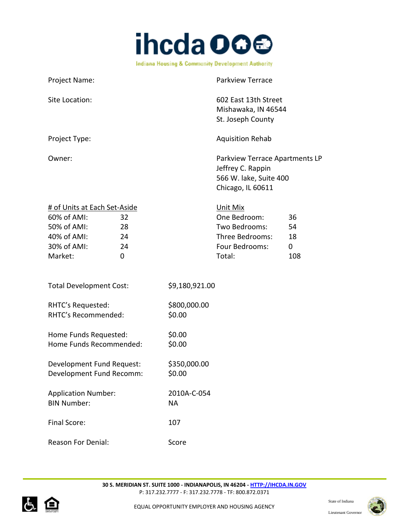

| Project Name:                                                                                                                    | <b>Parkview Terrace</b>                                                                                                |
|----------------------------------------------------------------------------------------------------------------------------------|------------------------------------------------------------------------------------------------------------------------|
| Site Location:                                                                                                                   | 602 East 13th Street<br>Mishawaka, IN 46544<br>St. Joseph County                                                       |
| Project Type:                                                                                                                    | <b>Aquisition Rehab</b>                                                                                                |
| Owner:                                                                                                                           | Parkview Terrace Apartments LP<br>Jeffrey C. Rappin<br>566 W. lake, Suite 400<br>Chicago, IL 60611                     |
| # of Units at Each Set-Aside<br>60% of AMI:<br>32<br>50% of AMI:<br>28<br>40% of AMI:<br>24<br>30% of AMI:<br>24<br>Market:<br>0 | Unit Mix<br>One Bedroom:<br>36<br>Two Bedrooms:<br>54<br>Three Bedrooms:<br>18<br>Four Bedrooms:<br>0<br>Total:<br>108 |
| <b>Total Development Cost:</b>                                                                                                   | \$9,180,921.00                                                                                                         |
| RHTC's Requested:<br>RHTC's Recommended:                                                                                         | \$800,000.00<br>\$0.00                                                                                                 |
| Home Funds Requested:<br>Home Funds Recommended:                                                                                 | \$0.00<br>\$0.00                                                                                                       |
| Development Fund Request:<br>Development Fund Recomm:                                                                            | \$350,000.00<br>\$0.00                                                                                                 |
| <b>Application Number:</b><br><b>BIN Number:</b>                                                                                 | 2010A-C-054<br><b>NA</b>                                                                                               |
| Final Score:                                                                                                                     | 107                                                                                                                    |
| <b>Reason For Denial:</b>                                                                                                        | Score                                                                                                                  |



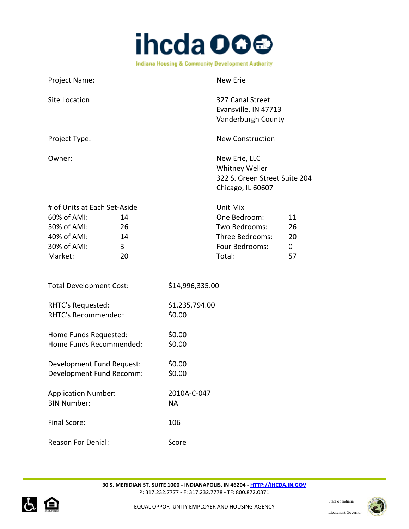

Project Name: New Erie Site Location: 327 Canal Street Evansville, IN 47713 Vanderburgh County Project Type: New Construction Owner: New Erie, LLC Whitney Weller 322 S. Green Street Suite 204 Chicago, IL 60607 # of Units at Each Set-Aside Unit Mix 60% of AMI: 14 One Bedroom: 11 50% of AMI: 26 Two Bedrooms: 26 40% of AMI: 14 Three Bedrooms: 20 30% of AMI: 3 3 and 5 Four Bedrooms: 0 Market: 20 and 20 Total: 57 Total Development Cost: \$14,996,335.00 RHTC's Requested: \$1,235,794.00 RHTC's Recommended: \$0.00 Home Funds Requested: \$0.00 Home Funds Recommended: \$0.00 Development Fund Request: \$0.00 Development Fund Recomm: \$0.00 Application Number: 2010A-C-047 BIN Number: NA Final Score: 106 Reason For Denial: Score



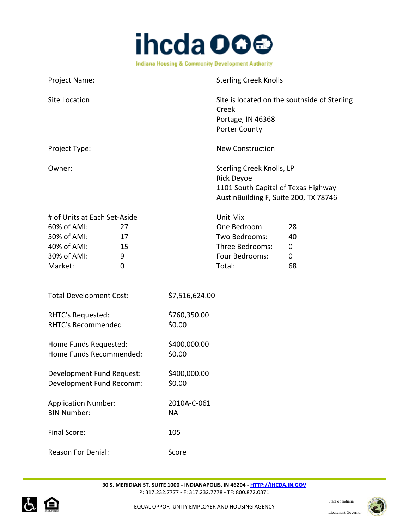

| Project Name:                | <b>Sterling Creek Knolls</b>                                                                                                   |
|------------------------------|--------------------------------------------------------------------------------------------------------------------------------|
| Site Location:               | Site is located on the southside of Sterling<br>Creek<br>Portage, IN 46368<br><b>Porter County</b>                             |
| Project Type:                | <b>New Construction</b>                                                                                                        |
| Owner:                       | Sterling Creek Knolls, LP<br><b>Rick Deyoe</b><br>1101 South Capital of Texas Highway<br>AustinBuilding F, Suite 200, TX 78746 |
| # of Units at Each Set-Aside | Unit Mix                                                                                                                       |

| <b>11 OF OTHER OL LUCH SCL ASIGC</b> |    | 21111111111     |    |
|--------------------------------------|----|-----------------|----|
| $60\%$ of AMI:                       | 77 | One Bedroom:    | 28 |
| 50% of AMI:                          | 17 | Two Bedrooms:   | 40 |
| 40% of AMI:                          | 15 | Three Bedrooms: | 0  |
| 30% of AMI:                          | q  | Four Bedrooms:  | 0  |
| Market:                              |    | Total:          | 68 |
|                                      |    |                 |    |

| <b>Total Development Cost:</b> | \$7,516,624.00 |
|--------------------------------|----------------|
|                                |                |

| RHTC's Requested:   | \$760,350.00 |
|---------------------|--------------|
| RHTC's Recommended: | \$0.00       |

Home Funds Requested: \$400,000.00 Home Funds Recommended: \$0.00

Development Fund Request: \$400,000.00 Development Fund Recomm: \$0.00

Application Number: 2010A-C-061 BIN Number: NA Final Score: 105

Reason For Denial: Score



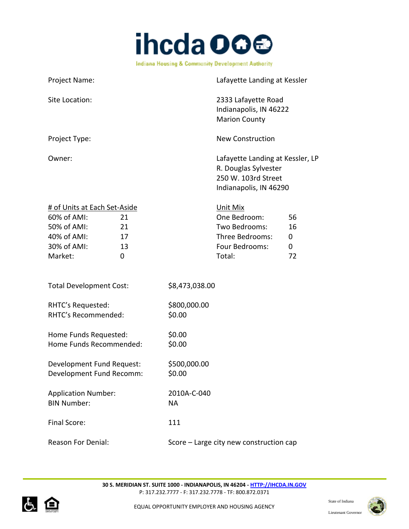

| Project Name:                                                                                                                                 | Lafayette Landing at Kessler                                                                                         |
|-----------------------------------------------------------------------------------------------------------------------------------------------|----------------------------------------------------------------------------------------------------------------------|
| Site Location:                                                                                                                                | 2333 Lafayette Road<br>Indianapolis, IN 46222<br><b>Marion County</b>                                                |
| Project Type:                                                                                                                                 | <b>New Construction</b>                                                                                              |
| Owner:                                                                                                                                        | Lafayette Landing at Kessler, LP<br>R. Douglas Sylvester<br>250 W. 103rd Street<br>Indianapolis, IN 46290            |
| # of Units at Each Set-Aside<br>60% of AMI:<br>21<br>50% of AMI:<br>21<br>40% of AMI:<br>17<br>30% of AMI:<br>13<br>Market:<br>$\overline{0}$ | Unit Mix<br>One Bedroom:<br>56<br>Two Bedrooms:<br>16<br>Three Bedrooms:<br>0<br>Four Bedrooms:<br>0<br>Total:<br>72 |
| <b>Total Development Cost:</b>                                                                                                                | \$8,473,038.00                                                                                                       |
| RHTC's Requested:<br>RHTC's Recommended:                                                                                                      | \$800,000.00<br>\$0.00                                                                                               |
| Home Funds Requested:<br>Home Funds Recommended:                                                                                              | \$0.00<br>\$0.00                                                                                                     |
| Development Fund Request:<br>Development Fund Recomm:                                                                                         | \$500,000.00<br>\$0.00                                                                                               |
| <b>Application Number:</b><br><b>BIN Number:</b>                                                                                              | 2010A-C-040<br><b>NA</b>                                                                                             |
| Final Score:                                                                                                                                  | 111                                                                                                                  |
| <b>Reason For Denial:</b>                                                                                                                     | Score - Large city new construction cap                                                                              |



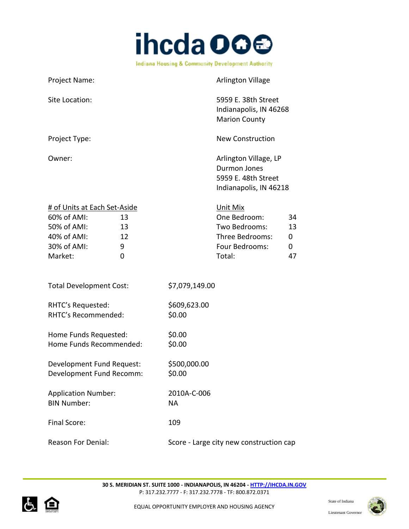

| Project Name:                                                                                       |                          |                          | <b>Arlington Village</b>                                                                 |                          |
|-----------------------------------------------------------------------------------------------------|--------------------------|--------------------------|------------------------------------------------------------------------------------------|--------------------------|
| Site Location:                                                                                      |                          |                          | 5959 E. 38th Street<br>Indianapolis, IN 46268<br><b>Marion County</b>                    |                          |
| Project Type:                                                                                       |                          |                          | <b>New Construction</b>                                                                  |                          |
| Owner:                                                                                              |                          |                          | Arlington Village, LP<br>Durmon Jones<br>5959 E. 48th Street<br>Indianapolis, IN 46218   |                          |
| # of Units at Each Set-Aside<br>60% of AMI:<br>50% of AMI:<br>40% of AMI:<br>30% of AMI:<br>Market: | 13<br>13<br>12<br>9<br>0 |                          | Unit Mix<br>One Bedroom:<br>Two Bedrooms:<br>Three Bedrooms:<br>Four Bedrooms:<br>Total: | 34<br>13<br>0<br>0<br>47 |
| <b>Total Development Cost:</b>                                                                      |                          | \$7,079,149.00           |                                                                                          |                          |
| RHTC's Requested:<br>RHTC's Recommended:                                                            |                          | \$609,623.00<br>\$0.00   |                                                                                          |                          |
| Home Funds Requested:<br>Home Funds Recommended:                                                    |                          | \$0.00<br>\$0.00         |                                                                                          |                          |
| Development Fund Request:<br>Development Fund Recomm:                                               |                          | \$500,000.00<br>\$0.00   |                                                                                          |                          |
| <b>Application Number:</b><br><b>BIN Number:</b>                                                    |                          | 2010A-C-006<br><b>NA</b> |                                                                                          |                          |
| Final Score:                                                                                        |                          | 109                      |                                                                                          |                          |
| <b>Reason For Denial:</b>                                                                           |                          |                          | Score - Large city new construction cap                                                  |                          |



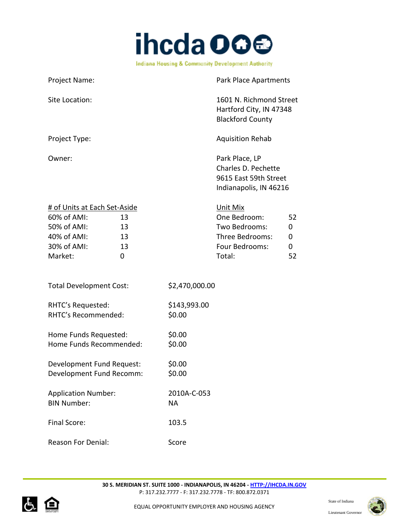

| Project Name:                                                                                       |                           |                          | Park Place Apartments                                                                    |                         |
|-----------------------------------------------------------------------------------------------------|---------------------------|--------------------------|------------------------------------------------------------------------------------------|-------------------------|
| Site Location:                                                                                      |                           |                          | 1601 N. Richmond Street<br>Hartford City, IN 47348<br><b>Blackford County</b>            |                         |
| Project Type:                                                                                       |                           |                          | <b>Aquisition Rehab</b>                                                                  |                         |
| Owner:                                                                                              |                           |                          | Park Place, LP<br>Charles D. Pechette<br>9615 East 59th Street<br>Indianapolis, IN 46216 |                         |
| # of Units at Each Set-Aside<br>60% of AMI:<br>50% of AMI:<br>40% of AMI:<br>30% of AMI:<br>Market: | 13<br>13<br>13<br>13<br>0 |                          | Unit Mix<br>One Bedroom:<br>Two Bedrooms:<br>Three Bedrooms:<br>Four Bedrooms:<br>Total: | 52<br>0<br>0<br>0<br>52 |
| <b>Total Development Cost:</b>                                                                      |                           | \$2,470,000.00           |                                                                                          |                         |
| RHTC's Requested:<br>RHTC's Recommended:                                                            |                           | \$143,993.00<br>\$0.00   |                                                                                          |                         |
| Home Funds Requested:<br>Home Funds Recommended:                                                    |                           | \$0.00<br>\$0.00         |                                                                                          |                         |
| Development Fund Request:<br>Development Fund Recomm:                                               |                           | \$0.00<br>\$0.00         |                                                                                          |                         |
| <b>Application Number:</b><br><b>BIN Number:</b>                                                    |                           | 2010A-C-053<br><b>NA</b> |                                                                                          |                         |
| Final Score:                                                                                        |                           | 103.5                    |                                                                                          |                         |



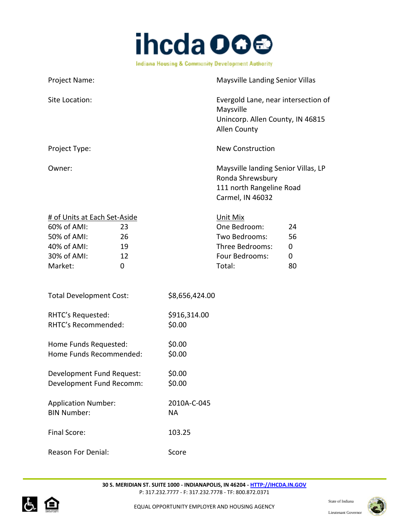

Project Name: Maysville Landing Senior Villas Site Location: Evergold Lane, near intersection of Maysville Unincorp. Allen County, IN 46815 Allen County Project Type: New Construction Owner: Communication of the Maysville landing Senior Villas, LP Ronda Shrewsbury 111 north Rangeline Road Carmel, IN 46032

| # of Units at Each Set-Aside |    | Unit Mix        |    |
|------------------------------|----|-----------------|----|
| 60% of AMI:                  | 23 | One Bedroom:    | 24 |
| 50% of AMI:                  | 26 | Two Bedrooms:   | 56 |
| 40% of AMI:                  | 19 | Three Bedrooms: | 0  |
| 30% of AMI:                  | 12 | Four Bedrooms:  | 0  |
| Market:                      |    | Total:          | 80 |

| <b>Total Development Cost:</b> | \$8,656,424.00 |
|--------------------------------|----------------|
|                                |                |

| RHTC's Requested:   | \$916,314.00 |
|---------------------|--------------|
| RHTC's Recommended: | \$0.00       |
|                     |              |

| Home Funds Requested:   | \$0.00 |
|-------------------------|--------|
| Home Funds Recommended: | \$0.00 |
|                         |        |

Development Fund Request: \$0.00 Development Fund Recomm: \$0.00

| <b>Application Number:</b> | 2010A-C-045 |
|----------------------------|-------------|
| <b>BIN Number:</b>         | NА          |
| Final Score:               | 103.25      |
|                            |             |



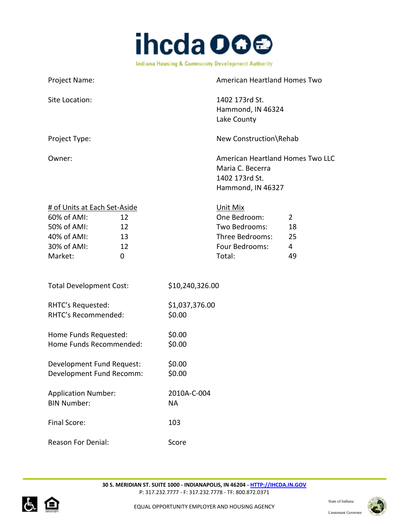

| Project Name:                                                                                                                    | <b>American Heartland Homes Two</b>                                                      |                                                    |
|----------------------------------------------------------------------------------------------------------------------------------|------------------------------------------------------------------------------------------|----------------------------------------------------|
| Site Location:                                                                                                                   | 1402 173rd St.<br>Hammond, IN 46324<br>Lake County                                       |                                                    |
| Project Type:                                                                                                                    | New Construction\Rehab                                                                   |                                                    |
| Owner:                                                                                                                           | Maria C. Becerra<br>1402 173rd St.<br>Hammond, IN 46327                                  | American Heartland Homes Two LLC                   |
| # of Units at Each Set-Aside<br>60% of AMI:<br>12<br>50% of AMI:<br>12<br>40% of AMI:<br>13<br>30% of AMI:<br>12<br>Market:<br>0 | Unit Mix<br>One Bedroom:<br>Two Bedrooms:<br>Three Bedrooms:<br>Four Bedrooms:<br>Total: | $\overline{2}$<br>18<br>25<br>$\overline{4}$<br>49 |
| <b>Total Development Cost:</b>                                                                                                   | \$10,240,326.00                                                                          |                                                    |
| RHTC's Requested:<br>RHTC's Recommended:                                                                                         | \$1,037,376.00<br>\$0.00                                                                 |                                                    |
| Home Funds Requested:<br>Home Funds Recommended:                                                                                 | \$0.00<br>\$0.00                                                                         |                                                    |
| Development Fund Request:<br>Development Fund Recomm:                                                                            | \$0.00<br>\$0.00                                                                         |                                                    |
| <b>Application Number:</b><br><b>BIN Number:</b>                                                                                 | 2010A-C-004<br><b>NA</b>                                                                 |                                                    |
| Final Score:                                                                                                                     | 103                                                                                      |                                                    |
| <b>Reason For Denial:</b>                                                                                                        | Score                                                                                    |                                                    |



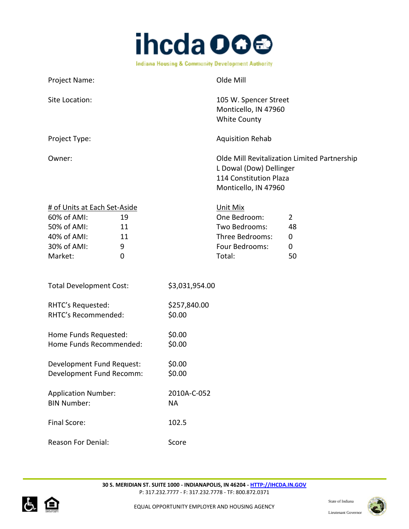

| Project Name:                                                                                                                   |                          | Olde Mill                                                                                       |                                                |
|---------------------------------------------------------------------------------------------------------------------------------|--------------------------|-------------------------------------------------------------------------------------------------|------------------------------------------------|
| Site Location:                                                                                                                  |                          | 105 W. Spencer Street<br>Monticello, IN 47960<br><b>White County</b>                            |                                                |
| Project Type:                                                                                                                   |                          | <b>Aquisition Rehab</b>                                                                         |                                                |
| Owner:                                                                                                                          |                          | L Dowal (Dow) Dellinger<br>114 Constitution Plaza<br>Monticello, IN 47960                       | Olde Mill Revitalization Limited Partnership   |
| # of Units at Each Set-Aside<br>60% of AMI:<br>19<br>50% of AMI:<br>11<br>40% of AMI:<br>11<br>30% of AMI:<br>9<br>Market:<br>0 |                          | <b>Unit Mix</b><br>One Bedroom:<br>Two Bedrooms:<br>Three Bedrooms:<br>Four Bedrooms:<br>Total: | $\overline{2}$<br>48<br>0<br>$\mathbf 0$<br>50 |
| <b>Total Development Cost:</b>                                                                                                  | \$3,031,954.00           |                                                                                                 |                                                |
| RHTC's Requested:<br>RHTC's Recommended:                                                                                        | \$257,840.00<br>\$0.00   |                                                                                                 |                                                |
| Home Funds Requested:<br>Home Funds Recommended:                                                                                | \$0.00<br>\$0.00         |                                                                                                 |                                                |
| Development Fund Request:<br>Development Fund Recomm:                                                                           | \$0.00<br>\$0.00         |                                                                                                 |                                                |
| <b>Application Number:</b><br><b>BIN Number:</b>                                                                                | 2010A-C-052<br><b>NA</b> |                                                                                                 |                                                |
| Final Score:                                                                                                                    | 102.5                    |                                                                                                 |                                                |
| Reason For Denial:                                                                                                              | Score                    |                                                                                                 |                                                |



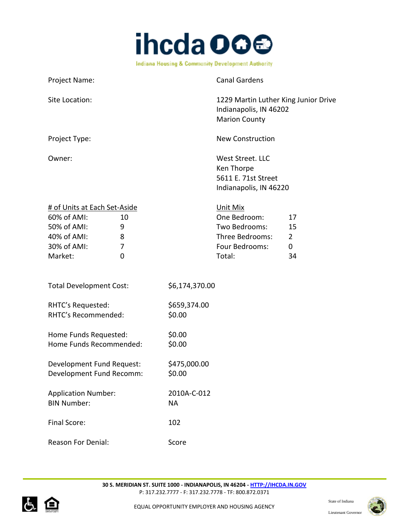

| Project Name:                                                                                                                              |                          | <b>Canal Gardens</b>                                                                     |                                       |
|--------------------------------------------------------------------------------------------------------------------------------------------|--------------------------|------------------------------------------------------------------------------------------|---------------------------------------|
| Site Location:                                                                                                                             |                          | 1229 Martin Luther King Junior Drive<br>Indianapolis, IN 46202<br><b>Marion County</b>   |                                       |
| Project Type:                                                                                                                              |                          | <b>New Construction</b>                                                                  |                                       |
| Owner:                                                                                                                                     |                          | West Street. LLC<br>Ken Thorpe<br>5611 E. 71st Street<br>Indianapolis, IN 46220          |                                       |
| # of Units at Each Set-Aside<br>60% of AMI:<br>10<br>50% of AMI:<br>9<br>40% of AMI:<br>8<br>30% of AMI:<br>7<br>Market:<br>$\overline{0}$ |                          | Unit Mix<br>One Bedroom:<br>Two Bedrooms:<br>Three Bedrooms:<br>Four Bedrooms:<br>Total: | 17<br>15<br>$\overline{2}$<br>0<br>34 |
| <b>Total Development Cost:</b>                                                                                                             | \$6,174,370.00           |                                                                                          |                                       |
| RHTC's Requested:<br>RHTC's Recommended:                                                                                                   | \$659,374.00<br>\$0.00   |                                                                                          |                                       |
| Home Funds Requested:<br>Home Funds Recommended:                                                                                           | \$0.00<br>\$0.00         |                                                                                          |                                       |
| Development Fund Request:<br>Development Fund Recomm:                                                                                      | \$475,000.00<br>\$0.00   |                                                                                          |                                       |
| <b>Application Number:</b><br><b>BIN Number:</b>                                                                                           | 2010A-C-012<br><b>NA</b> |                                                                                          |                                       |
| Final Score:                                                                                                                               | 102                      |                                                                                          |                                       |
| <b>Reason For Denial:</b>                                                                                                                  | Score                    |                                                                                          |                                       |



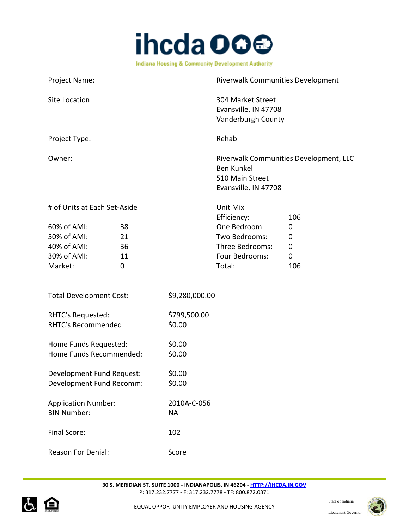

| Project Name:                  |             |                | Riverwalk Communities Development                                                                      |             |
|--------------------------------|-------------|----------------|--------------------------------------------------------------------------------------------------------|-------------|
| Site Location:                 |             |                | 304 Market Street<br>Evansville, IN 47708<br>Vanderburgh County                                        |             |
| Project Type:                  |             |                | Rehab                                                                                                  |             |
| Owner:                         |             |                | Riverwalk Communities Development, LLC<br><b>Ben Kunkel</b><br>510 Main Street<br>Evansville, IN 47708 |             |
| # of Units at Each Set-Aside   |             |                | Unit Mix                                                                                               |             |
|                                |             |                | Efficiency:                                                                                            | 106         |
| 60% of AMI:                    | 38          |                | One Bedroom:                                                                                           | $\mathbf 0$ |
| 50% of AMI:                    | 21          |                | Two Bedrooms:                                                                                          | 0           |
| 40% of AMI:                    | 36          |                | Three Bedrooms:                                                                                        | $\mathbf 0$ |
| 30% of AMI:                    | 11          |                | Four Bedrooms:                                                                                         | 0           |
| Market:                        | $\mathbf 0$ |                | Total:                                                                                                 | 106         |
| <b>Total Development Cost:</b> |             | \$9,280,000.00 |                                                                                                        |             |
| RHTC's Requested:              |             | \$799,500.00   |                                                                                                        |             |
| RHTC's Recommended:            |             | \$0.00         |                                                                                                        |             |
| Home Funds Requested:          |             | \$0.00         |                                                                                                        |             |
| Home Funds Recommended:        |             | \$0.00         |                                                                                                        |             |
| Development Fund Request:      |             | \$0.00         |                                                                                                        |             |
| Development Fund Recomm:       |             | \$0.00         |                                                                                                        |             |
| <b>Application Number:</b>     |             | 2010A-C-056    |                                                                                                        |             |
| <b>BIN Number:</b>             |             | <b>NA</b>      |                                                                                                        |             |

Reason For Denial: Score

Final Score: 102



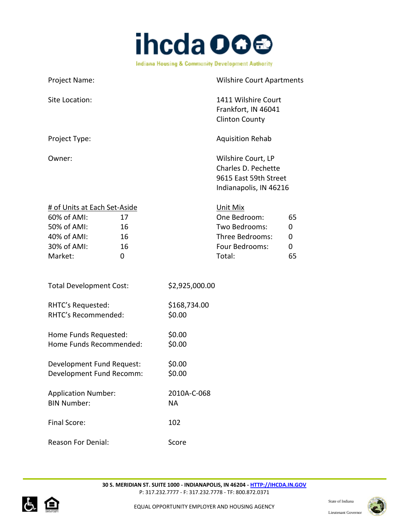

| Project Name:                                                                                                                    | <b>Wilshire Court Apartments</b>                                                                                    |
|----------------------------------------------------------------------------------------------------------------------------------|---------------------------------------------------------------------------------------------------------------------|
| Site Location:                                                                                                                   | 1411 Wilshire Court<br>Frankfort, IN 46041<br><b>Clinton County</b>                                                 |
| Project Type:                                                                                                                    | <b>Aquisition Rehab</b>                                                                                             |
| Owner:                                                                                                                           | Wilshire Court, LP<br>Charles D. Pechette<br>9615 East 59th Street<br>Indianapolis, IN 46216                        |
| # of Units at Each Set-Aside<br>60% of AMI:<br>17<br>50% of AMI:<br>16<br>40% of AMI:<br>16<br>16<br>30% of AMI:<br>Market:<br>0 | Unit Mix<br>One Bedroom:<br>65<br>Two Bedrooms:<br>0<br>Three Bedrooms:<br>0<br>Four Bedrooms:<br>0<br>Total:<br>65 |
| <b>Total Development Cost:</b>                                                                                                   | \$2,925,000.00                                                                                                      |
| RHTC's Requested:<br>RHTC's Recommended:                                                                                         | \$168,734.00<br>\$0.00                                                                                              |
| Home Funds Requested:<br>Home Funds Recommended:                                                                                 | \$0.00<br>\$0.00                                                                                                    |
| Development Fund Request:<br>Development Fund Recomm:                                                                            | \$0.00<br>\$0.00                                                                                                    |
| <b>Application Number:</b><br><b>BIN Number:</b>                                                                                 | 2010A-C-068<br><b>NA</b>                                                                                            |
| Final Score:                                                                                                                     | 102                                                                                                                 |
| <b>Reason For Denial:</b>                                                                                                        | Score                                                                                                               |



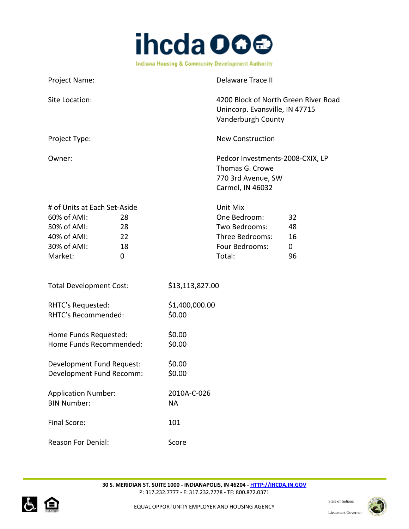

| Project Name:                                                                                                                    |                          | <b>Delaware Trace II</b>                                                                      |                                     |
|----------------------------------------------------------------------------------------------------------------------------------|--------------------------|-----------------------------------------------------------------------------------------------|-------------------------------------|
| Site Location:                                                                                                                   |                          | 4200 Block of North Green River Road<br>Unincorp. Evansville, IN 47715<br>Vanderburgh County  |                                     |
| Project Type:                                                                                                                    |                          | <b>New Construction</b>                                                                       |                                     |
| Owner:                                                                                                                           |                          | Pedcor Investments-2008-CXIX, LP<br>Thomas G. Crowe<br>770 3rd Avenue, SW<br>Carmel, IN 46032 |                                     |
| # of Units at Each Set-Aside<br>60% of AMI:<br>28<br>50% of AMI:<br>28<br>40% of AMI:<br>22<br>30% of AMI:<br>18<br>Market:<br>0 |                          | Unit Mix<br>One Bedroom:<br>Two Bedrooms:<br>Three Bedrooms:<br>Four Bedrooms:<br>Total:      | 32<br>48<br>16<br>$\mathbf 0$<br>96 |
| <b>Total Development Cost:</b>                                                                                                   | \$13,113,827.00          |                                                                                               |                                     |
| RHTC's Requested:<br>RHTC's Recommended:                                                                                         | \$1,400,000.00<br>\$0.00 |                                                                                               |                                     |
| Home Funds Requested:<br>Home Funds Recommended:                                                                                 | \$0.00<br>\$0.00         |                                                                                               |                                     |
| Development Fund Request:<br>Development Fund Recomm:                                                                            | \$0.00<br>\$0.00         |                                                                                               |                                     |
| <b>Application Number:</b><br><b>BIN Number:</b>                                                                                 | 2010A-C-026<br><b>NA</b> |                                                                                               |                                     |
| Final Score:                                                                                                                     | 101                      |                                                                                               |                                     |
| Reason For Denial:                                                                                                               | Score                    |                                                                                               |                                     |



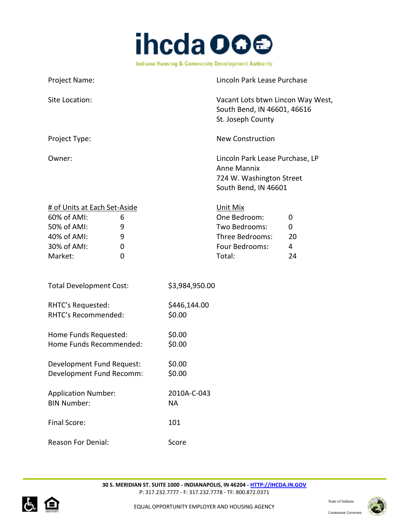

| Project Name:                                                                                                                |                          | Lincoln Park Lease Purchase                                                                                         |
|------------------------------------------------------------------------------------------------------------------------------|--------------------------|---------------------------------------------------------------------------------------------------------------------|
| Site Location:                                                                                                               |                          | Vacant Lots btwn Lincon Way West,<br>South Bend, IN 46601, 46616<br>St. Joseph County                               |
| Project Type:                                                                                                                |                          | <b>New Construction</b>                                                                                             |
| Owner:                                                                                                                       |                          | Lincoln Park Lease Purchase, LP<br><b>Anne Mannix</b><br>724 W. Washington Street<br>South Bend, IN 46601           |
| # of Units at Each Set-Aside<br>60% of AMI:<br>6<br>50% of AMI:<br>9<br>40% of AMI:<br>9<br>30% of AMI:<br>0<br>Market:<br>0 |                          | Unit Mix<br>One Bedroom:<br>0<br>Two Bedrooms:<br>0<br>Three Bedrooms:<br>20<br>Four Bedrooms:<br>4<br>Total:<br>24 |
| <b>Total Development Cost:</b>                                                                                               | \$3,984,950.00           |                                                                                                                     |
| RHTC's Requested:<br>RHTC's Recommended:                                                                                     | \$446,144.00<br>\$0.00   |                                                                                                                     |
| Home Funds Requested:<br>Home Funds Recommended:                                                                             | \$0.00<br>\$0.00         |                                                                                                                     |
| Development Fund Request:<br>Development Fund Recomm:                                                                        | \$0.00<br>\$0.00         |                                                                                                                     |
| <b>Application Number:</b><br><b>BIN Number:</b>                                                                             | 2010A-C-043<br><b>NA</b> |                                                                                                                     |
| Final Score:                                                                                                                 | 101                      |                                                                                                                     |
| <b>Reason For Denial:</b>                                                                                                    | Score                    |                                                                                                                     |



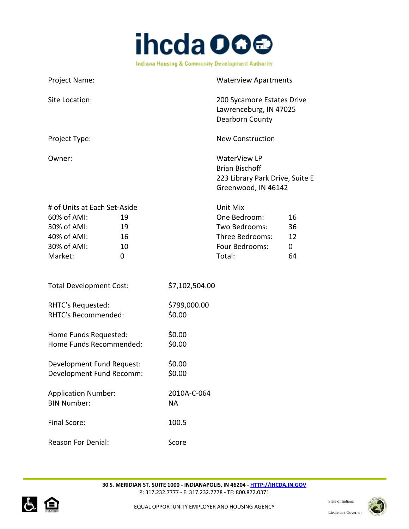

Project Name: Waterview Apartments Site Location: 200 Sycamore Estates Drive Lawrenceburg, IN 47025 Dearborn County Project Type: New Construction Owner: WaterView LP Brian Bischoff 223 Library Park Drive, Suite E Greenwood, IN 46142 # of Units at Each Set-Aside Unit Mix 60% of AMI: 19 One Bedroom: 16 50% of AMI: 19 Two Bedrooms: 36 40% of AMI: 16 Three Bedrooms: 12 30% of AMI:  $10$  Four Bedrooms: 0 Market: 0 Total: 64 Total Development Cost: \$7,102,504.00 RHTC's Requested: \$799,000.00 RHTC's Recommended: \$0.00 Home Funds Requested: \$0.00 Home Funds Recommended: \$0.00 Development Fund Request: \$0.00 Development Fund Recomm: \$0.00 Application Number: 2010A-C-064 BIN Number: NA Final Score: 100.5

Reason For Denial: Score



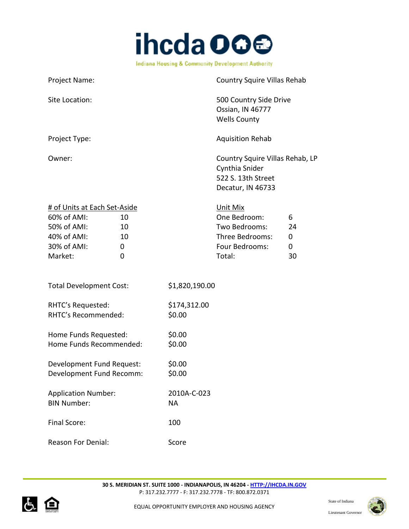

| Project Name:                                                                                                                          | Country Squire Villas Rehab                                                                                                   |
|----------------------------------------------------------------------------------------------------------------------------------------|-------------------------------------------------------------------------------------------------------------------------------|
| Site Location:                                                                                                                         | 500 Country Side Drive<br>Ossian, IN 46777<br><b>Wells County</b>                                                             |
| Project Type:                                                                                                                          | <b>Aquisition Rehab</b>                                                                                                       |
| Owner:                                                                                                                                 | Country Squire Villas Rehab, LP<br>Cynthia Snider<br>522 S. 13th Street<br>Decatur, IN 46733                                  |
| # of Units at Each Set-Aside<br>60% of AMI:<br>10<br>50% of AMI:<br>10<br>40% of AMI:<br>10<br>30% of AMI:<br>0<br>Market:<br>$\Omega$ | Unit Mix<br>One Bedroom:<br>6<br>Two Bedrooms:<br>24<br>Three Bedrooms:<br>0<br>Four Bedrooms:<br>$\mathbf 0$<br>Total:<br>30 |
| <b>Total Development Cost:</b>                                                                                                         | \$1,820,190.00                                                                                                                |
| RHTC's Requested:<br>RHTC's Recommended:                                                                                               | \$174,312.00<br>\$0.00                                                                                                        |
| Home Funds Requested:<br>Home Funds Recommended:                                                                                       | \$0.00<br>\$0.00                                                                                                              |
| Development Fund Request:<br>Development Fund Recomm:                                                                                  | \$0.00<br>\$0.00                                                                                                              |
| <b>Application Number:</b><br><b>BIN Number:</b>                                                                                       | 2010A-C-023<br><b>NA</b>                                                                                                      |
| Final Score:                                                                                                                           | 100                                                                                                                           |
| <b>Reason For Denial:</b>                                                                                                              | Score                                                                                                                         |



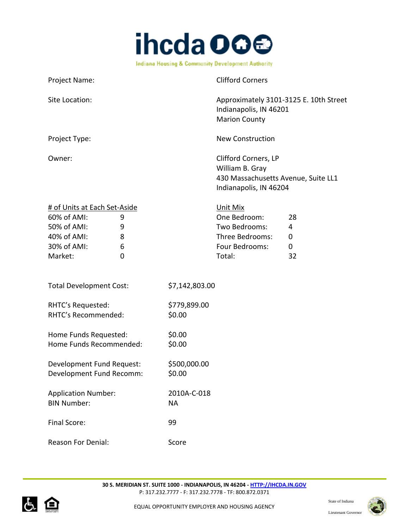

| Project Name:                                                                                                                |                          | <b>Clifford Corners</b>                                                                                  |                                   |
|------------------------------------------------------------------------------------------------------------------------------|--------------------------|----------------------------------------------------------------------------------------------------------|-----------------------------------|
| Site Location:                                                                                                               |                          | Approximately 3101-3125 E. 10th Street<br>Indianapolis, IN 46201<br><b>Marion County</b>                 |                                   |
| Project Type:                                                                                                                |                          | <b>New Construction</b>                                                                                  |                                   |
| Owner:                                                                                                                       |                          | Clifford Corners, LP<br>William B. Gray<br>430 Massachusetts Avenue, Suite LL1<br>Indianapolis, IN 46204 |                                   |
| # of Units at Each Set-Aside<br>60% of AMI:<br>9<br>50% of AMI:<br>9<br>40% of AMI:<br>8<br>30% of AMI:<br>6<br>Market:<br>0 |                          | Unit Mix<br>One Bedroom:<br>Two Bedrooms:<br>Three Bedrooms:<br>Four Bedrooms:<br>Total:                 | 28<br>4<br>0<br>$\mathbf 0$<br>32 |
| <b>Total Development Cost:</b>                                                                                               | \$7,142,803.00           |                                                                                                          |                                   |
| RHTC's Requested:<br>RHTC's Recommended:                                                                                     | \$779,899.00<br>\$0.00   |                                                                                                          |                                   |
| Home Funds Requested:<br>Home Funds Recommended:                                                                             | \$0.00<br>\$0.00         |                                                                                                          |                                   |
| Development Fund Request:<br>Development Fund Recomm:                                                                        | \$500,000.00<br>\$0.00   |                                                                                                          |                                   |
| <b>Application Number:</b><br><b>BIN Number:</b>                                                                             | 2010A-C-018<br><b>NA</b> |                                                                                                          |                                   |
| Final Score:                                                                                                                 | 99                       |                                                                                                          |                                   |
| <b>Reason For Denial:</b>                                                                                                    | Score                    |                                                                                                          |                                   |



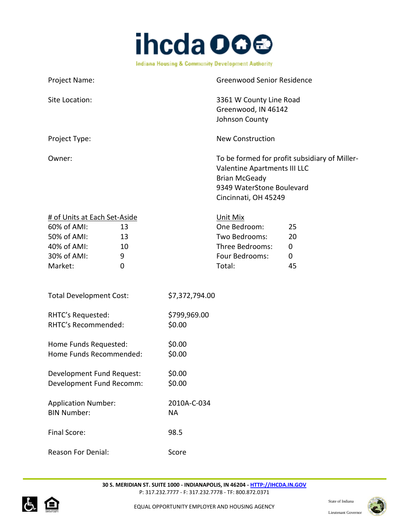

| <b>Project Name:</b> | <b>Greenwood Senior Residence</b>                                                                                                                          |
|----------------------|------------------------------------------------------------------------------------------------------------------------------------------------------------|
| Site Location:       | 3361 W County Line Road<br>Greenwood, IN 46142<br>Johnson County                                                                                           |
| Project Type:        | New Construction                                                                                                                                           |
| Owner:               | To be formed for profit subsidiary of Miller-<br>Valentine Apartments III LLC<br><b>Brian McGeady</b><br>9349 WaterStone Boulevard<br>Cincinnati, OH 45249 |

| # of Units at Each Set-Aside |    | Unit Mix        |    |
|------------------------------|----|-----------------|----|
| 60% of AMI:                  | 13 | One Bedroom:    | 25 |
| 50% of AMI:                  | 13 | Two Bedrooms:   | 20 |
| 40% of AMI:                  | 10 | Three Bedrooms: | 0  |
| 30% of AMI:                  | q  | Four Bedrooms:  | 0  |
| Market:                      |    | Total:          | 45 |

| <b>Total Development Cost:</b> | \$7,372,794.00 |
|--------------------------------|----------------|
|                                |                |

| RHTC's Requested:   | \$799,969.00 |
|---------------------|--------------|
| RHTC's Recommended: | \$0.00       |
|                     |              |

| Home Funds Requested:   | \$0.00 |
|-------------------------|--------|
| Home Funds Recommended: | \$0.00 |

Development Fund Request: \$0.00 Development Fund Recomm: \$0.00

| <b>Application Number:</b> | 2010A-C-034 |
|----------------------------|-------------|
| <b>BIN Number:</b>         | NА          |
| Final Score:               | 98.5        |
|                            |             |



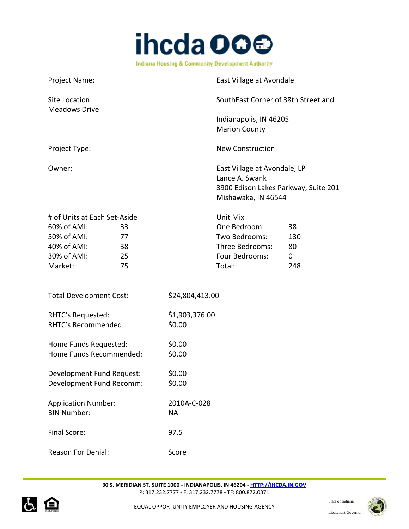

| Project Name:                                                                                                                     |                          | East Village at Avondale                                                                                      |                             |
|-----------------------------------------------------------------------------------------------------------------------------------|--------------------------|---------------------------------------------------------------------------------------------------------------|-----------------------------|
| Site Location:<br><b>Meadows Drive</b>                                                                                            |                          | SouthEast Corner of 38th Street and                                                                           |                             |
|                                                                                                                                   |                          | Indianapolis, IN 46205<br><b>Marion County</b>                                                                |                             |
| Project Type:                                                                                                                     |                          | <b>New Construction</b>                                                                                       |                             |
| Owner:                                                                                                                            |                          | East Village at Avondale, LP<br>Lance A. Swank<br>3900 Edison Lakes Parkway, Suite 201<br>Mishawaka, IN 46544 |                             |
| # of Units at Each Set-Aside<br>60% of AMI:<br>33<br>50% of AMI:<br>77<br>40% of AMI:<br>38<br>30% of AMI:<br>25<br>Market:<br>75 |                          | Unit Mix<br>One Bedroom:<br>Two Bedrooms:<br>Three Bedrooms:<br>Four Bedrooms:<br>Total:                      | 38<br>130<br>80<br>0<br>248 |
| <b>Total Development Cost:</b>                                                                                                    | \$24,804,413.00          |                                                                                                               |                             |
| RHTC's Requested:<br>RHTC's Recommended:                                                                                          | \$1,903,376.00<br>\$0.00 |                                                                                                               |                             |
| Home Funds Requested:<br>Home Funds Recommended:                                                                                  | \$0.00<br>\$0.00         |                                                                                                               |                             |
| Development Fund Request:<br>Development Fund Recomm:                                                                             | \$0.00<br>\$0.00         |                                                                                                               |                             |
| <b>Application Number:</b><br><b>BIN Number:</b>                                                                                  | 2010A-C-028<br><b>NA</b> |                                                                                                               |                             |
| Final Score:                                                                                                                      | 97.5                     |                                                                                                               |                             |
| Reason For Denial:                                                                                                                | Score                    |                                                                                                               |                             |



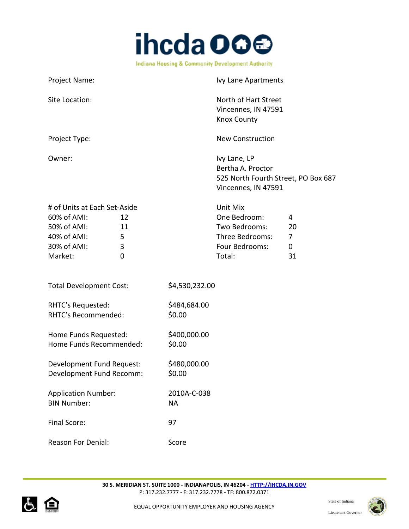

| Project Name:                                                                                       |                         |                          | Ivy Lane Apartments                                                                             |                         |
|-----------------------------------------------------------------------------------------------------|-------------------------|--------------------------|-------------------------------------------------------------------------------------------------|-------------------------|
| Site Location:                                                                                      |                         |                          | North of Hart Street<br>Vincennes, IN 47591<br><b>Knox County</b>                               |                         |
| Project Type:                                                                                       |                         |                          | <b>New Construction</b>                                                                         |                         |
| Owner:                                                                                              |                         |                          | Ivy Lane, LP<br>Bertha A. Proctor<br>525 North Fourth Street, PO Box 687<br>Vincennes, IN 47591 |                         |
| # of Units at Each Set-Aside<br>60% of AMI:<br>50% of AMI:<br>40% of AMI:<br>30% of AMI:<br>Market: | 12<br>11<br>5<br>3<br>0 |                          | Unit Mix<br>One Bedroom:<br>Two Bedrooms:<br>Three Bedrooms:<br>Four Bedrooms:<br>Total:        | 4<br>20<br>7<br>0<br>31 |
| <b>Total Development Cost:</b>                                                                      |                         | \$4,530,232.00           |                                                                                                 |                         |
| RHTC's Requested:<br>RHTC's Recommended:                                                            |                         | \$484,684.00<br>\$0.00   |                                                                                                 |                         |
| Home Funds Requested:<br>Home Funds Recommended:                                                    |                         | \$400,000.00<br>\$0.00   |                                                                                                 |                         |
| Development Fund Request:<br>Development Fund Recomm:                                               |                         | \$480,000.00<br>\$0.00   |                                                                                                 |                         |
| <b>Application Number:</b><br><b>BIN Number:</b>                                                    |                         | 2010A-C-038<br><b>NA</b> |                                                                                                 |                         |
| <b>Final Score:</b>                                                                                 |                         | 97                       |                                                                                                 |                         |
| <b>Reason For Denial:</b>                                                                           |                         | Score                    |                                                                                                 |                         |



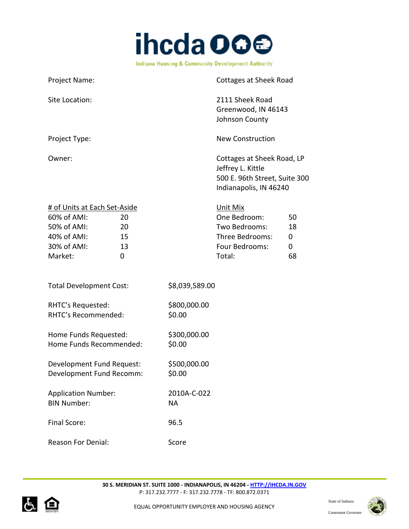

Project Name: Cottages at Sheek Road Site Location: 2111 Sheek Road Greenwood, IN 46143 Johnson County Project Type: New Construction Owner: Cottages at Sheek Road, LP Jeffrey L. Kittle 500 E. 96th Street, Suite 300 Indianapolis, IN 46240 # of Units at Each Set-Aside Unit Mix 60% of AMI: 20 One Bedroom: 50 50% of AMI: 20 Two Bedrooms: 18 40% of AMI: 15 Three Bedrooms: 0 30% of AMI: 13 13 Four Bedrooms: 0 Market: 0 Total: 68 Total Development Cost: \$8,039,589.00 RHTC's Requested: \$800,000.00 RHTC's Recommended: \$0.00 Home Funds Requested: \$300,000.00 Home Funds Recommended: \$0.00 Development Fund Request: \$500,000.00 Development Fund Recomm: \$0.00 Application Number: 2010A-C-022 BIN Number: NA Final Score: 96.5 Reason For Denial: Score



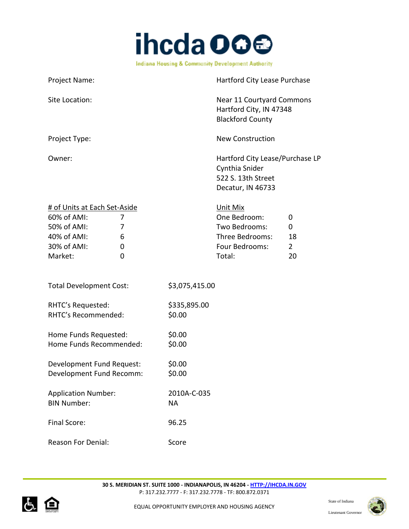

| Project Name:                                                                                                                | Hartford City Lease Purchase                                                                                                     |
|------------------------------------------------------------------------------------------------------------------------------|----------------------------------------------------------------------------------------------------------------------------------|
| Site Location:                                                                                                               | <b>Near 11 Courtyard Commons</b><br>Hartford City, IN 47348<br><b>Blackford County</b>                                           |
| Project Type:                                                                                                                | <b>New Construction</b>                                                                                                          |
| Owner:                                                                                                                       | Hartford City Lease/Purchase LP<br>Cynthia Snider<br>522 S. 13th Street<br>Decatur, IN 46733                                     |
| # of Units at Each Set-Aside<br>60% of AMI:<br>7<br>50% of AMI:<br>7<br>40% of AMI:<br>6<br>30% of AMI:<br>0<br>Market:<br>0 | Unit Mix<br>One Bedroom:<br>0<br>Two Bedrooms:<br>0<br>Three Bedrooms:<br>18<br>Four Bedrooms:<br>$\overline{2}$<br>Total:<br>20 |
| <b>Total Development Cost:</b>                                                                                               | \$3,075,415.00                                                                                                                   |
| RHTC's Requested:<br>RHTC's Recommended:                                                                                     | \$335,895.00<br>\$0.00                                                                                                           |
| Home Funds Requested:<br>Home Funds Recommended:                                                                             | \$0.00<br>\$0.00                                                                                                                 |
| Development Fund Request:<br>Development Fund Recomm:                                                                        | \$0.00<br>\$0.00                                                                                                                 |
| <b>Application Number:</b><br><b>BIN Number:</b>                                                                             | 2010A-C-035<br><b>NA</b>                                                                                                         |
| Final Score:                                                                                                                 | 96.25                                                                                                                            |
| <b>Reason For Denial:</b>                                                                                                    | Score                                                                                                                            |



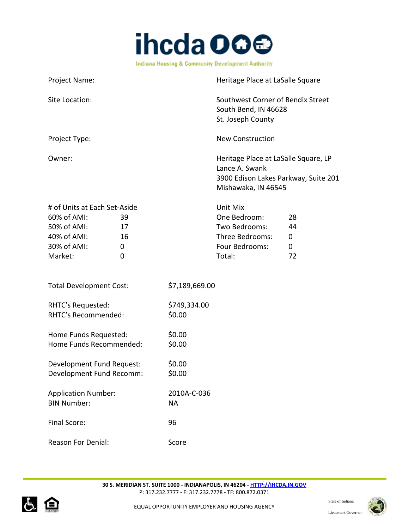

| Project Name:                                                                                                                          | Heritage Place at LaSalle Square |                                                                                                                       |                          |
|----------------------------------------------------------------------------------------------------------------------------------------|----------------------------------|-----------------------------------------------------------------------------------------------------------------------|--------------------------|
| Site Location:                                                                                                                         |                                  | Southwest Corner of Bendix Street<br>South Bend, IN 46628<br>St. Joseph County                                        |                          |
| Project Type:                                                                                                                          |                                  | <b>New Construction</b>                                                                                               |                          |
| Owner:                                                                                                                                 |                                  | Heritage Place at LaSalle Square, LP<br>Lance A. Swank<br>3900 Edison Lakes Parkway, Suite 201<br>Mishawaka, IN 46545 |                          |
| # of Units at Each Set-Aside<br>60% of AMI:<br>39<br>50% of AMI:<br>17<br>40% of AMI:<br>16<br>30% of AMI:<br>0<br>Market:<br>$\Omega$ |                                  | Unit Mix<br>One Bedroom:<br>Two Bedrooms:<br>Three Bedrooms:<br>Four Bedrooms:<br>Total:                              | 28<br>44<br>0<br>0<br>72 |
| <b>Total Development Cost:</b>                                                                                                         | \$7,189,669.00                   |                                                                                                                       |                          |
| RHTC's Requested:<br>RHTC's Recommended:                                                                                               | \$749,334.00<br>\$0.00           |                                                                                                                       |                          |
| Home Funds Requested:<br>Home Funds Recommended:                                                                                       | \$0.00<br>\$0.00                 |                                                                                                                       |                          |
| Development Fund Request:<br>Development Fund Recomm:                                                                                  | \$0.00<br>\$0.00                 |                                                                                                                       |                          |
| <b>Application Number:</b><br><b>BIN Number:</b>                                                                                       | 2010A-C-036<br><b>NA</b>         |                                                                                                                       |                          |
| Final Score:                                                                                                                           | 96                               |                                                                                                                       |                          |
| Reason For Denial:                                                                                                                     | Score                            |                                                                                                                       |                          |



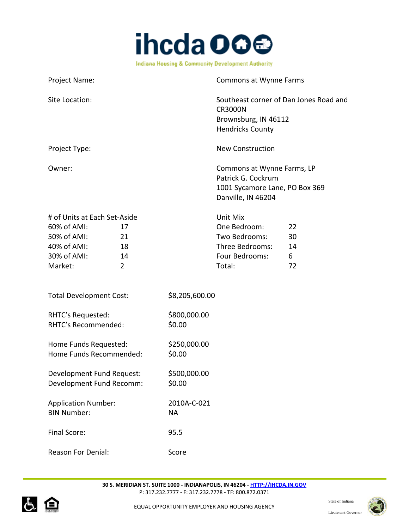

Project Name: Commons at Wynne Farms Site Location: Southeast corner of Dan Jones Road and CR3000N Brownsburg, IN 46112 Hendricks County Project Type: New Construction Owner: Commons at Wynne Farms, LP Patrick G. Cockrum 1001 Sycamore Lane, PO Box 369 Danville, IN 46204

| # of Units at Each Set-Aside |    | Unit Mix        |    |
|------------------------------|----|-----------------|----|
| 60% of AMI:                  |    | One Bedroom:    | 22 |
| 50% of AMI:                  | 21 | Two Bedrooms:   | 30 |
| 40% of AMI:                  | 18 | Three Bedrooms: | 14 |
| 30% of AMI:                  | 14 | Four Bedrooms:  | 6  |
| Market:                      |    | Total:          | 77 |

| <b>Total Development Cost:</b> | \$8,205,600.00 |
|--------------------------------|----------------|
|--------------------------------|----------------|

| RHTC's Requested:   | \$800,000.00 |
|---------------------|--------------|
| RHTC's Recommended: | \$0.00       |

Home Funds Requested: \$250,000.00 Home Funds Recommended: \$0.00

Development Fund Request: \$500,000.00 Development Fund Recomm: \$0.00

Application Number: 2010A-C-021 BIN Number: NA Final Score: 95.5

Reason For Denial: Score



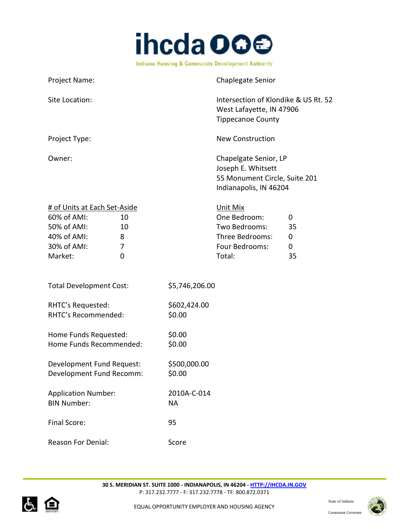

| Project Name:                                                                                                                  |                          | Chaplegate Senior                                                                                                   |
|--------------------------------------------------------------------------------------------------------------------------------|--------------------------|---------------------------------------------------------------------------------------------------------------------|
| Site Location:                                                                                                                 |                          | Intersection of Klondike & US Rt. 52<br>West Lafayette, IN 47906<br><b>Tippecanoe County</b>                        |
| Project Type:                                                                                                                  |                          | <b>New Construction</b>                                                                                             |
| Owner:                                                                                                                         |                          | Chapelgate Senior, LP<br>Joseph E. Whitsett<br>55 Monument Circle, Suite 201<br>Indianapolis, IN 46204              |
| # of Units at Each Set-Aside<br>60% of AMI:<br>10<br>50% of AMI:<br>10<br>40% of AMI:<br>8<br>30% of AMI:<br>7<br>Market:<br>0 |                          | Unit Mix<br>One Bedroom:<br>0<br>Two Bedrooms:<br>35<br>Three Bedrooms:<br>0<br>Four Bedrooms:<br>0<br>Total:<br>35 |
| <b>Total Development Cost:</b>                                                                                                 | \$5,746,206.00           |                                                                                                                     |
| RHTC's Requested:<br>RHTC's Recommended:                                                                                       | \$602,424.00<br>\$0.00   |                                                                                                                     |
| Home Funds Requested:<br>Home Funds Recommended:                                                                               | \$0.00<br>\$0.00         |                                                                                                                     |
| Development Fund Request:<br>Development Fund Recomm:                                                                          | \$500,000.00<br>\$0.00   |                                                                                                                     |
| <b>Application Number:</b><br><b>BIN Number:</b>                                                                               | 2010A-C-014<br><b>NA</b> |                                                                                                                     |
| Final Score:                                                                                                                   | 95                       |                                                                                                                     |
| Reason For Denial:                                                                                                             | Score                    |                                                                                                                     |



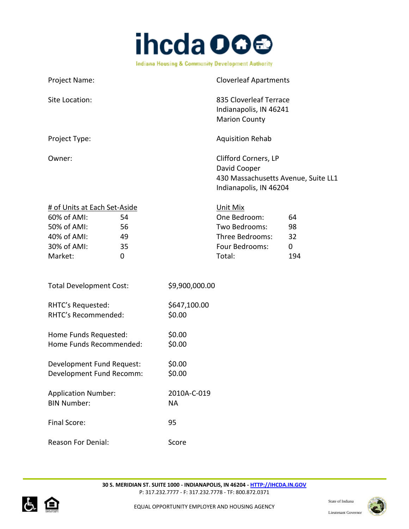

| Project Name:                                                                                                                    |                          | <b>Cloverleaf Apartments</b>                                                                          |                                      |
|----------------------------------------------------------------------------------------------------------------------------------|--------------------------|-------------------------------------------------------------------------------------------------------|--------------------------------------|
| Site Location:                                                                                                                   |                          | 835 Cloverleaf Terrace<br>Indianapolis, IN 46241<br><b>Marion County</b>                              |                                      |
| Project Type:                                                                                                                    |                          | <b>Aquisition Rehab</b>                                                                               |                                      |
| Owner:                                                                                                                           |                          | Clifford Corners, LP<br>David Cooper<br>430 Massachusetts Avenue, Suite LL1<br>Indianapolis, IN 46204 |                                      |
| # of Units at Each Set-Aside<br>60% of AMI:<br>54<br>50% of AMI:<br>56<br>40% of AMI:<br>49<br>30% of AMI:<br>35<br>Market:<br>0 |                          | Unit Mix<br>One Bedroom:<br>Two Bedrooms:<br>Three Bedrooms:<br>Four Bedrooms:<br>Total:              | 64<br>98<br>32<br>$\mathbf 0$<br>194 |
| <b>Total Development Cost:</b>                                                                                                   | \$9,900,000.00           |                                                                                                       |                                      |
| RHTC's Requested:<br>RHTC's Recommended:                                                                                         | \$647,100.00<br>\$0.00   |                                                                                                       |                                      |
| Home Funds Requested:<br>Home Funds Recommended:                                                                                 | \$0.00<br>\$0.00         |                                                                                                       |                                      |
| Development Fund Request:<br>Development Fund Recomm:                                                                            | \$0.00<br>\$0.00         |                                                                                                       |                                      |
| <b>Application Number:</b><br><b>BIN Number:</b>                                                                                 | 2010A-C-019<br><b>NA</b> |                                                                                                       |                                      |
| Final Score:                                                                                                                     | 95                       |                                                                                                       |                                      |
| <b>Reason For Denial:</b>                                                                                                        | Score                    |                                                                                                       |                                      |



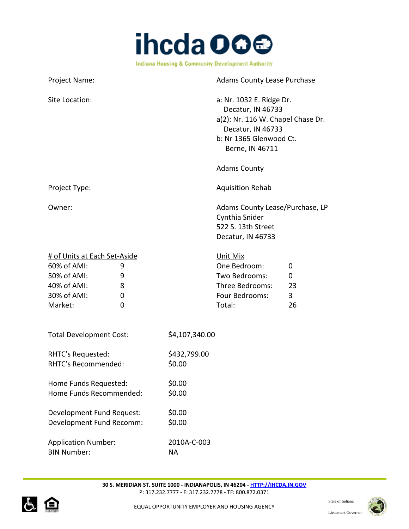

| Project Name:                                                                                                                          | <b>Adams County Lease Purchase</b>                                                                                                                    |                         |
|----------------------------------------------------------------------------------------------------------------------------------------|-------------------------------------------------------------------------------------------------------------------------------------------------------|-------------------------|
| Site Location:                                                                                                                         | a: Nr. 1032 E. Ridge Dr.<br>Decatur, IN 46733<br>a(2): Nr. 116 W. Chapel Chase Dr.<br>Decatur, IN 46733<br>b: Nr 1365 Glenwood Ct.<br>Berne, IN 46711 |                         |
|                                                                                                                                        | <b>Adams County</b>                                                                                                                                   |                         |
| Project Type:                                                                                                                          | <b>Aquisition Rehab</b>                                                                                                                               |                         |
| Owner:                                                                                                                                 | Adams County Lease/Purchase, LP<br>Cynthia Snider<br>522 S. 13th Street<br>Decatur, IN 46733                                                          |                         |
| # of Units at Each Set-Aside<br>60% of AMI:<br>9<br>50% of AMI:<br>9<br>40% of AMI:<br>8<br>30% of AMI:<br>$\mathbf 0$<br>Market:<br>0 | Unit Mix<br>One Bedroom:<br>Two Bedrooms:<br>Three Bedrooms:<br>Four Bedrooms:<br>Total:                                                              | 0<br>0<br>23<br>3<br>26 |
| <b>Total Development Cost:</b>                                                                                                         | \$4,107,340.00                                                                                                                                        |                         |
| RHTC's Requested:<br>RHTC's Recommended:                                                                                               | \$432,799.00<br>\$0.00                                                                                                                                |                         |
| Home Funds Requested:<br>Home Funds Recommended:                                                                                       | \$0.00<br>\$0.00                                                                                                                                      |                         |
| Development Fund Request:<br>Development Fund Recomm:                                                                                  | \$0.00<br>\$0.00                                                                                                                                      |                         |
| <b>Application Number:</b><br><b>BIN Number:</b>                                                                                       | 2010A-C-003<br><b>NA</b>                                                                                                                              |                         |



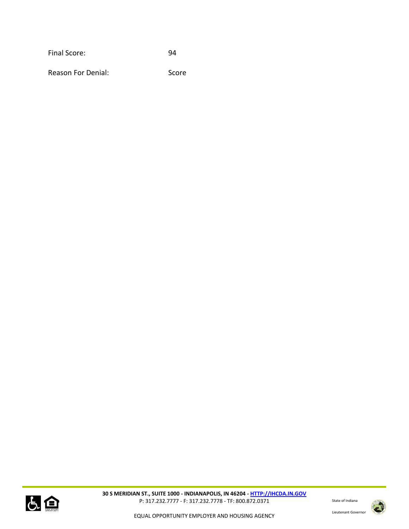Final Score: 94

Reason For Denial: Score



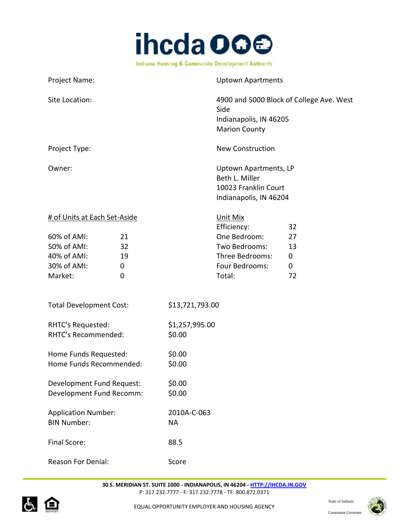

Project Name: Version of the Uptown Apartments Site Location: 4900 and 5000 Block of College Ave. West Side Indianapolis, IN 46205 Marion County Project Type: New Construction Owner: Uptown Apartments, LP Beth L. Miller 10023 Franklin Court Indianapolis, IN 46204 # of Units at Each Set-Aside Unit Mix Efficiency: 32 60% of AMI: 21 One Bedroom: 27 50% of AMI: 32 Two Bedrooms: 13 40% of AMI: 19 Three Bedrooms: 0 30% of AMI: 0 Four Bedrooms: 0 Market: 0 0 0 Total: 72 Total Development Cost: \$13,721,793.00 RHTC's Requested: \$1,257,995.00 RHTC's Recommended: \$0.00 Home Funds Requested: \$0.00 Home Funds Recommended: \$0.00 Development Fund Request: \$0.00 Development Fund Recomm: \$0.00 Application Number: 2010A-C-063 BIN Number: NA Final Score: 88.5 Reason For Denial: Score



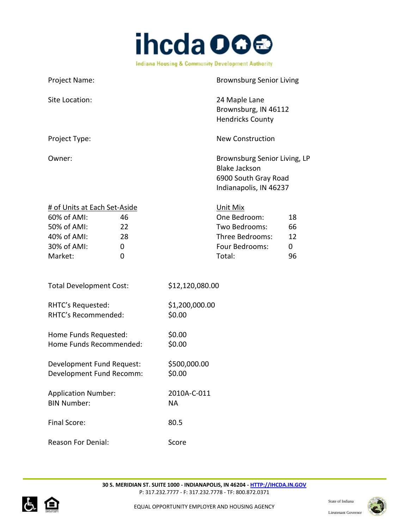

| Project Name:                                                                                       |                                           |                          | <b>Brownsburg Senior Living</b>                                                                        |                                     |
|-----------------------------------------------------------------------------------------------------|-------------------------------------------|--------------------------|--------------------------------------------------------------------------------------------------------|-------------------------------------|
| Site Location:                                                                                      |                                           |                          | 24 Maple Lane<br>Brownsburg, IN 46112<br><b>Hendricks County</b>                                       |                                     |
| Project Type:                                                                                       |                                           |                          | <b>New Construction</b>                                                                                |                                     |
| Owner:                                                                                              |                                           |                          | Brownsburg Senior Living, LP<br><b>Blake Jackson</b><br>6900 South Gray Road<br>Indianapolis, IN 46237 |                                     |
| # of Units at Each Set-Aside<br>60% of AMI:<br>50% of AMI:<br>40% of AMI:<br>30% of AMI:<br>Market: | 46<br>22<br>28<br>$\mathbf 0$<br>$\Omega$ |                          | Unit Mix<br>One Bedroom:<br>Two Bedrooms:<br>Three Bedrooms:<br>Four Bedrooms:<br>Total:               | 18<br>66<br>12<br>$\mathbf 0$<br>96 |
| <b>Total Development Cost:</b>                                                                      |                                           | \$12,120,080.00          |                                                                                                        |                                     |
| RHTC's Requested:<br>RHTC's Recommended:                                                            |                                           | \$1,200,000.00<br>\$0.00 |                                                                                                        |                                     |
| Home Funds Requested:<br>Home Funds Recommended:                                                    |                                           | \$0.00<br>\$0.00         |                                                                                                        |                                     |
| Development Fund Request:<br>Development Fund Recomm:                                               |                                           | \$500,000.00<br>\$0.00   |                                                                                                        |                                     |
| <b>Application Number:</b><br><b>BIN Number:</b>                                                    |                                           | 2010A-C-011<br><b>NA</b> |                                                                                                        |                                     |
| Final Score:                                                                                        |                                           | 80.5                     |                                                                                                        |                                     |
| <b>Reason For Denial:</b>                                                                           |                                           | Score                    |                                                                                                        |                                     |



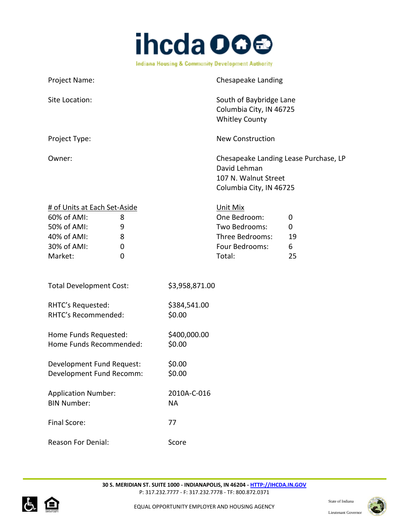

| Project Name:                                                                                                                |                          | <b>Chesapeake Landing</b>                                                                                |                         |
|------------------------------------------------------------------------------------------------------------------------------|--------------------------|----------------------------------------------------------------------------------------------------------|-------------------------|
| Site Location:                                                                                                               |                          | South of Baybridge Lane<br>Columbia City, IN 46725<br><b>Whitley County</b>                              |                         |
| Project Type:                                                                                                                |                          | <b>New Construction</b>                                                                                  |                         |
| Owner:                                                                                                                       |                          | Chesapeake Landing Lease Purchase, LP<br>David Lehman<br>107 N. Walnut Street<br>Columbia City, IN 46725 |                         |
| # of Units at Each Set-Aside<br>60% of AMI:<br>8<br>50% of AMI:<br>9<br>40% of AMI:<br>8<br>30% of AMI:<br>0<br>Market:<br>0 |                          | Unit Mix<br>One Bedroom:<br>Two Bedrooms:<br>Three Bedrooms:<br>Four Bedrooms:<br>Total:                 | 0<br>0<br>19<br>6<br>25 |
| <b>Total Development Cost:</b>                                                                                               | \$3,958,871.00           |                                                                                                          |                         |
| RHTC's Requested:<br>RHTC's Recommended:                                                                                     | \$384,541.00<br>\$0.00   |                                                                                                          |                         |
| Home Funds Requested:<br>Home Funds Recommended:                                                                             | \$400,000.00<br>\$0.00   |                                                                                                          |                         |
| Development Fund Request:<br>Development Fund Recomm:                                                                        | \$0.00<br>\$0.00         |                                                                                                          |                         |
| <b>Application Number:</b><br><b>BIN Number:</b>                                                                             | 2010A-C-016<br><b>NA</b> |                                                                                                          |                         |
| Final Score:                                                                                                                 | 77                       |                                                                                                          |                         |
| Reason For Denial:                                                                                                           | Score                    |                                                                                                          |                         |



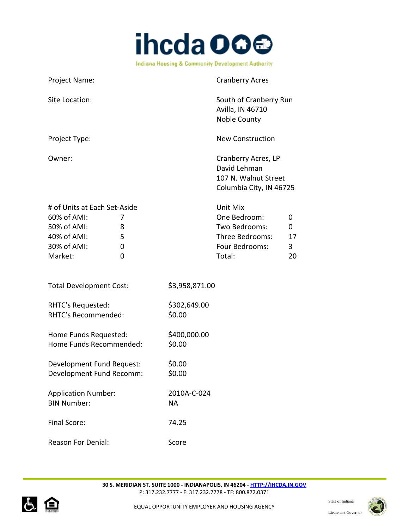

| Project Name:                                                                                       |                       |                        | <b>Cranberry Acres</b>                                                                   |                         |
|-----------------------------------------------------------------------------------------------------|-----------------------|------------------------|------------------------------------------------------------------------------------------|-------------------------|
| Site Location:                                                                                      |                       |                        | South of Cranberry Run<br>Avilla, IN 46710<br>Noble County                               |                         |
| Project Type:                                                                                       |                       |                        | <b>New Construction</b>                                                                  |                         |
| Owner:                                                                                              |                       |                        | Cranberry Acres, LP<br>David Lehman<br>107 N. Walnut Street<br>Columbia City, IN 46725   |                         |
| # of Units at Each Set-Aside<br>60% of AMI:<br>50% of AMI:<br>40% of AMI:<br>30% of AMI:<br>Market: | 7<br>8<br>5<br>0<br>0 |                        | Unit Mix<br>One Bedroom:<br>Two Bedrooms:<br>Three Bedrooms:<br>Four Bedrooms:<br>Total: | 0<br>0<br>17<br>3<br>20 |
| <b>Total Development Cost:</b>                                                                      |                       | \$3,958,871.00         |                                                                                          |                         |
| RHTC's Requested:<br>RHTC's Recommended:                                                            |                       | \$302,649.00<br>\$0.00 |                                                                                          |                         |
| Home Funds Requested:<br>Home Funds Recommended:                                                    |                       | \$400,000.00<br>\$0.00 |                                                                                          |                         |
| Development Fund Request:                                                                           |                       | \$0.00                 |                                                                                          |                         |

Development Fund Recomm: \$0.00 Application Number: 2010A-C-024 BIN Number: NA Final Score: 74.25

Reason For Denial: Score



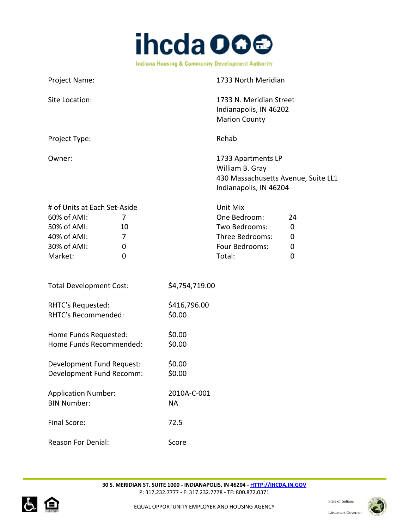

| Project Name:                                                                                                                 |                          | 1733 North Meridian                                                                                    |                                  |
|-------------------------------------------------------------------------------------------------------------------------------|--------------------------|--------------------------------------------------------------------------------------------------------|----------------------------------|
| Site Location:                                                                                                                |                          | 1733 N. Meridian Street<br>Indianapolis, IN 46202<br><b>Marion County</b>                              |                                  |
| Project Type:                                                                                                                 |                          | Rehab                                                                                                  |                                  |
| Owner:                                                                                                                        |                          | 1733 Apartments LP<br>William B. Gray<br>430 Massachusetts Avenue, Suite LL1<br>Indianapolis, IN 46204 |                                  |
| # of Units at Each Set-Aside<br>60% of AMI:<br>7<br>50% of AMI:<br>10<br>40% of AMI:<br>7<br>30% of AMI:<br>0<br>Market:<br>0 |                          | Unit Mix<br>One Bedroom:<br>Two Bedrooms:<br>Three Bedrooms:<br>Four Bedrooms:<br>Total:               | 24<br>$\mathbf 0$<br>0<br>0<br>0 |
| <b>Total Development Cost:</b>                                                                                                | \$4,754,719.00           |                                                                                                        |                                  |
| RHTC's Requested:<br>RHTC's Recommended:                                                                                      | \$416,796.00<br>\$0.00   |                                                                                                        |                                  |
| Home Funds Requested:<br>Home Funds Recommended:                                                                              | \$0.00<br>\$0.00         |                                                                                                        |                                  |
| Development Fund Request:<br>Development Fund Recomm:                                                                         | \$0.00<br>\$0.00         |                                                                                                        |                                  |
| <b>Application Number:</b><br><b>BIN Number:</b>                                                                              | 2010A-C-001<br><b>NA</b> |                                                                                                        |                                  |
| Final Score:                                                                                                                  | 72.5                     |                                                                                                        |                                  |
| <b>Reason For Denial:</b>                                                                                                     | Score                    |                                                                                                        |                                  |



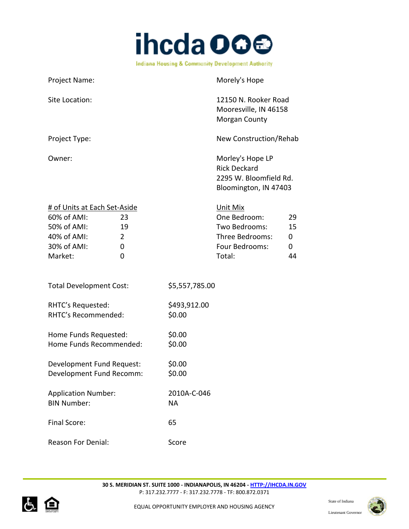

| Project Name:                                                                                       |                                      |                        | Morely's Hope                                                                              |                          |
|-----------------------------------------------------------------------------------------------------|--------------------------------------|------------------------|--------------------------------------------------------------------------------------------|--------------------------|
| Site Location:                                                                                      |                                      |                        | 12150 N. Rooker Road<br>Mooresville, IN 46158<br><b>Morgan County</b>                      |                          |
| Project Type:                                                                                       |                                      |                        | New Construction/Rehab                                                                     |                          |
| Owner:                                                                                              |                                      |                        | Morley's Hope LP<br><b>Rick Deckard</b><br>2295 W. Bloomfield Rd.<br>Bloomington, IN 47403 |                          |
| # of Units at Each Set-Aside<br>60% of AMI:<br>50% of AMI:<br>40% of AMI:<br>30% of AMI:<br>Market: | 23<br>19<br>$\overline{2}$<br>0<br>0 |                        | Unit Mix<br>One Bedroom:<br>Two Bedrooms:<br>Three Bedrooms:<br>Four Bedrooms:<br>Total:   | 29<br>15<br>0<br>0<br>44 |
| <b>Total Development Cost:</b>                                                                      |                                      | \$5,557,785.00         |                                                                                            |                          |
| RHTC's Requested:<br>RHTC's Recommended:                                                            |                                      | \$493,912.00<br>\$0.00 |                                                                                            |                          |
| Home Funds Requested:<br>Home Funds Recommended:                                                    |                                      | \$0.00<br>\$0.00       |                                                                                            |                          |
| Development Fund Request:<br>Development Fund Recomm:                                               |                                      | \$0.00<br>\$0.00       |                                                                                            |                          |
| <b>Application Number:</b><br><b>BIN Number:</b>                                                    |                                      | 2010A-C-046<br>NA      |                                                                                            |                          |
| Final Score:                                                                                        |                                      | 65                     |                                                                                            |                          |
| <b>Reason For Denial:</b>                                                                           |                                      | Score                  |                                                                                            |                          |